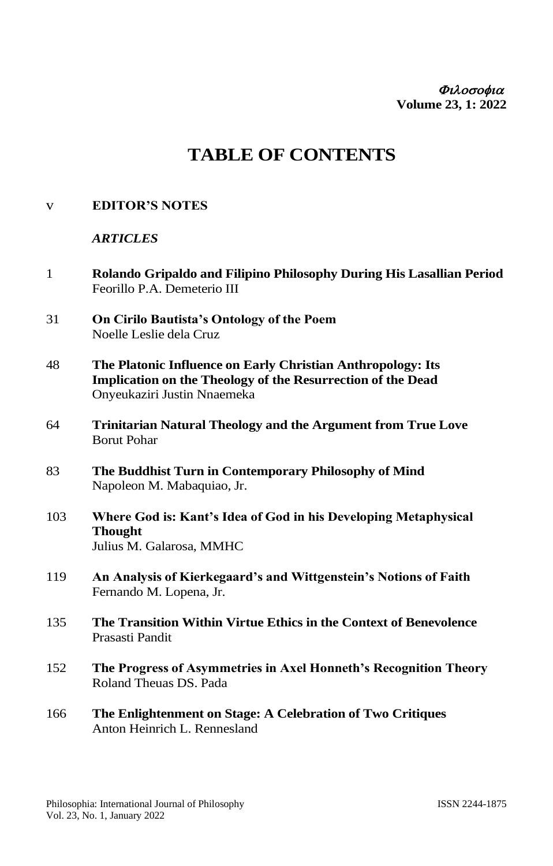Φιλοσοφια **Volume 23, 1: 2022**

# **TABLE OF CONTENTS**

## v **EDITOR'S NOTES**

#### *ARTICLES*

- 1 **Rolando Gripaldo and Filipino Philosophy During His Lasallian Period** Feorillo P.A. Demeterio III
- 31 **On Cirilo Bautista's Ontology of the Poem** Noelle Leslie dela Cruz
- 48 **The Platonic Influence on Early Christian Anthropology: Its Implication on the Theology of the Resurrection of the Dead** Onyeukaziri Justin Nnaemeka
- 64 **Trinitarian Natural Theology and the Argument from True Love** Borut Pohar
- 83 **The Buddhist Turn in Contemporary Philosophy of Mind** Napoleon M. Mabaquiao, Jr.
- 103 **Where God is: Kant's Idea of God in his Developing Metaphysical Thought** Julius M. Galarosa, MMHC
- 119 **An Analysis of Kierkegaard's and Wittgenstein's Notions of Faith**  Fernando M. Lopena, Jr.
- 135 **The Transition Within Virtue Ethics in the Context of Benevolence**  Prasasti Pandit
- 152 **The Progress of Asymmetries in Axel Honneth's Recognition Theory** Roland Theuas DS. Pada
- 166 **The Enlightenment on Stage: A Celebration of Two Critiques** Anton Heinrich L. Rennesland